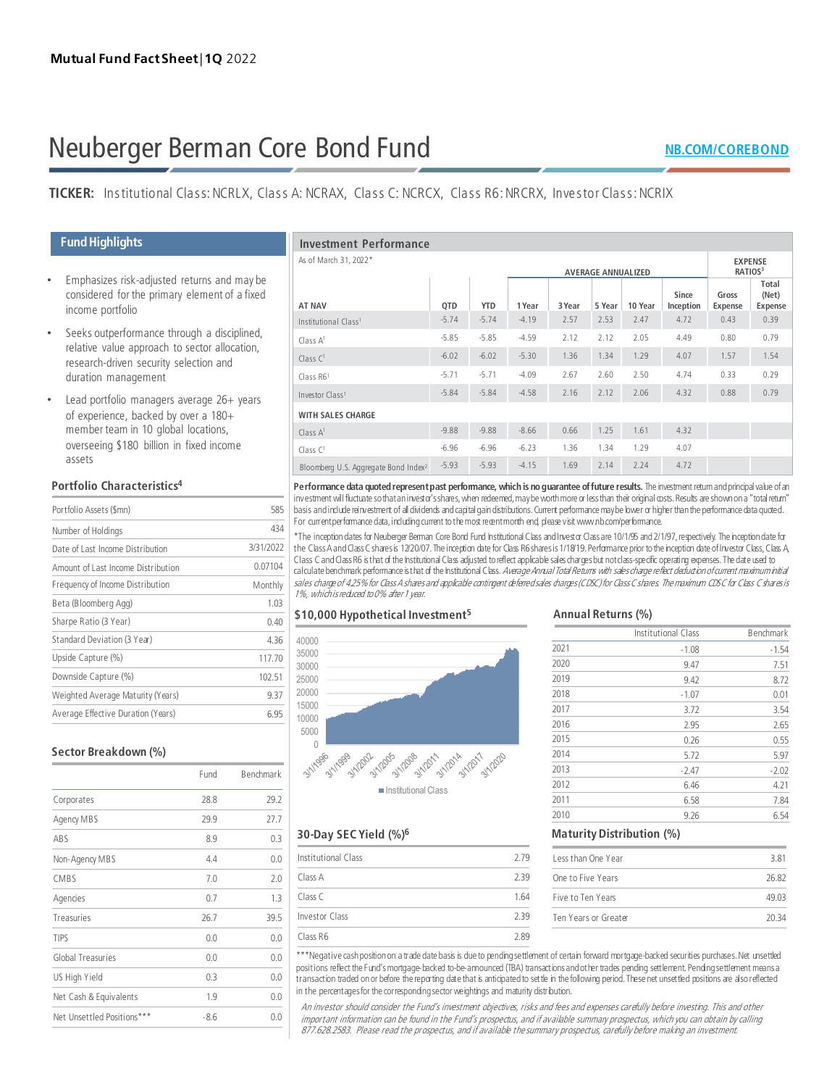# Neuberger Berman Core Bond Fund

# **TICKER:** Institutional Class: NCRLX, Class A: NCRAX, Class C: NCRCX, Class R6: NRCRX, Investor Class: NCRIX

# **FundHighlights**

- Emphasizes risk-adjusted returns and may be considered for the primary element of a fixed income portfolio
- Seeks outperformance through a disciplined, relative value approach to sector allocation, research-driven security selection and duration management
- Lead portfolio managers average 26+ years of experience, backed by over a 180+ member team in 10 global locations, overseeing \$180 billion in fixed income assets

# **Portfolio Characteristics4**

| Portfolio Assets (\$mn)            | 585       |
|------------------------------------|-----------|
| Number of Holdings                 | 434       |
| Date of Last Income Distribution   | 3/31/2022 |
| Amount of Last Income Distribution | 0.07104   |
| Frequency of Income Distribution   | Monthly   |
| Beta (Bloomberg Agg)               | 1.03      |
| Sharpe Ratio (3 Year)              | 0.40      |
| Standard Deviation (3 Year)        | 436       |
| Upside Capture (%)                 | 117.70    |
| Downside Capture (%)               | 102.51    |
| Weighted Average Maturity (Years)  | 9.37      |
| Average Effective Duration (Years) | 6.95      |

| Sector Breakdown (%)       |        |           | 0                       |  |
|----------------------------|--------|-----------|-------------------------|--|
|                            | Fund   | Benchmark | 3/1/1996                |  |
| Corporates                 | 28.8   | 29.2      |                         |  |
| Agency MBS                 | 29.9   | 27.7      |                         |  |
| ABS                        | 8.9    | 0.3       | $30-Day$                |  |
| Non-Agency MBS             | 4.4    | 0.0       | Institutio              |  |
| CMBS                       | 7.0    | 2.0       | Class A                 |  |
| Agencies                   | 0.7    | 1.3       | Class C                 |  |
| Treasuries                 | 26.7   | 39.5      | Investor                |  |
| TIPS                       | 0.0    | 0.0       | Class R6                |  |
| Global Treasuries          | 0.0    | 0.0       | ***Negat                |  |
| US High Yield              | 0.3    | 0.0       | positions<br>transactic |  |
| Net Cash & Equivalents     | 1.9    | 0.0       | in the per              |  |
| Net Unsettled Positions*** | $-8.6$ | 0.0       | An inve.<br>importa     |  |

| <b>Investment Performance</b>                    |                           |            |         |        |                                       |         |                    |                         |                                  |
|--------------------------------------------------|---------------------------|------------|---------|--------|---------------------------------------|---------|--------------------|-------------------------|----------------------------------|
| As of March 31, 2022*                            | <b>AVERAGE ANNUALIZED</b> |            |         |        | <b>EXPENSE</b><br>RATIOS <sup>3</sup> |         |                    |                         |                                  |
| <b>AT NAV</b>                                    | QTD                       | <b>YTD</b> | 1 Year  | 3 Year | 5 Year                                | 10 Year | Since<br>Inception | Gross<br><b>Expense</b> | Total<br>(Net)<br><b>Expense</b> |
| Institutional Class <sup>1</sup>                 | $-5.74$                   | $-5.74$    | $-4.19$ | 2.57   | 2.53                                  | 2.47    | 4.72               | 0.43                    | 0.39                             |
| Class $A^1$                                      | $-5.85$                   | $-5.85$    | $-4.59$ | 2.12   | 2.12                                  | 2.05    | 4.49               | 0.80                    | 0.79                             |
| Class $C1$                                       | $-6.02$                   | $-6.02$    | $-5.30$ | 1.36   | 1.34                                  | 1.29    | 4.07               | 1.57                    | 1.54                             |
| Class R61                                        | $-5.71$                   | $-5.71$    | $-4.09$ | 2.67   | 2.60                                  | 2.50    | 4.74               | 0.33                    | 0.29                             |
| Investor Class <sup>1</sup>                      | $-5.84$                   | $-5.84$    | $-4.58$ | 2.16   | 2.12                                  | 2.06    | 4.32               | 0.88                    | 0.79                             |
| <b>WITH SALES CHARGE</b>                         |                           |            |         |        |                                       |         |                    |                         |                                  |
| Class $A1$                                       | $-9.88$                   | $-9.88$    | $-8.66$ | 0.66   | 1.25                                  | 1.61    | 4.32               |                         |                                  |
| Class $C1$                                       | $-6.96$                   | $-6.96$    | $-6.23$ | 1.36   | 1.34                                  | 1.29    | 4.07               |                         |                                  |
| Bloomberg U.S. Aggregate Bond Index <sup>2</sup> | $-5.93$                   | $-5.93$    | $-4.15$ | 1.69   | 2.14                                  | 2.24    | 4.72               |                         |                                  |

**Performance data quoted represent past performance, which is no guarantee of future results.** The investment return and principal value of an investment will fluctuate so that an investor's shares, when redeemed, may be worth more or less than their original costs. Results are shown on a "total return" basis and include reinvestment of all dividends and capital gain distributions. Current performance may be lower or higher than the performance data quoted. For current performance data, including current to the most recent month end, please visit www.nb.com/performance.

\*The inception dates for Neuberger Berman Core Bond Fund Institutional Class and Investor Class are 10/1/95 and 2/1/97, respectively. The inception date for the Class A and Class C shares is 12/20/07. The inception date for Class R6 shares is 1/18/19. Performance prior to the inception date of Investor Class, Class A, Class C and Class R6 is that of the Institutional Class adjusted to reflect applicable sales charges but not class-specific operating expenses. The date used to calculate benchmark performance is that of the Institutional Class. Average Annual Total Returns with sales charge reflect deduction of current maximum initial sales charge of 4.25% for Class A shares and applicable contingent deferred sales darges (CDSC) for Class C shares in maximum CDSC for Class C shares is 1%, which is reduced to 0% after 1 year.

# **\$10,000 Hypothetical Investment5**



# **30-Day SEC Yield (%)6**

| Institutional Class | 2.79 |
|---------------------|------|
| Class A             | 2.39 |
| Class <sub>C</sub>  | 1.64 |
| Investor Class      | 2.39 |
| Class R6            | 2.89 |

\*\*\*Negative cash position on a trade date basis is due to pending settlement of certain forward mortgage-backed securities purchases. Net unsettled positions reflect the Fund's mortgage-backed to-be-announced (TBA) transactions and other trades pending settlement. Pending settlement means a transaction traded on or before the reporting date that is anticipated to settle in the following period. These net unsettled positions are also reflected in the percentages for the corresponding sector weightings and maturity distribution.

An investor should consider the Fund's investment objectives, risks and fees and expenses carefully before investing. This and other important information can be found in the Fund's prospectus, and if available summary prospectus, which you can obtain by calling 877.628.2583. Please read the prospectus, and if available the summary prospectus, carefully before making an investment.

#### **Annual Returns (%)**

|      | Institutional Class | Benchmark |
|------|---------------------|-----------|
| 2021 | $-1.08$             | $-1.54$   |
| 2020 | 9.47                | 7.51      |
| 2019 | 9.42                | 8.72      |
| 2018 | $-1.07$             | 0.01      |
| 2017 | 3.72                | 3.54      |
| 2016 | 2.95                | 2.65      |
| 2015 | 0.26                | 0.55      |
| 2014 | 5.72                | 5.97      |
| 2013 | $-2.47$             | $-2.02$   |
| 2012 | 6.46                | 4.21      |
| 2011 | 6.58                | 7.84      |
| 2010 | 9.26                | 6.54      |

#### **Maturity Distribution (%)**

| Less than One Year   | 381   |
|----------------------|-------|
| One to Five Years    | 26.82 |
| Five to Ten Years    | 49.03 |
| Ten Years or Greater | 20.34 |
|                      |       |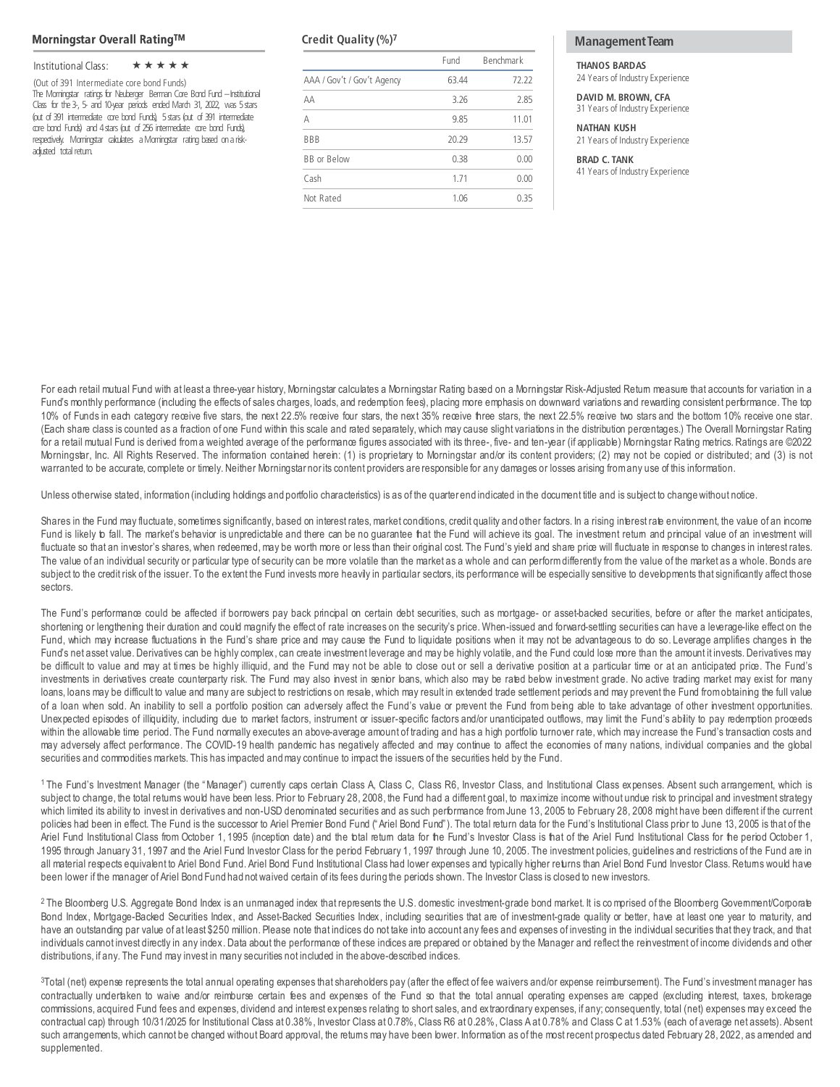#### **Morningstar Overall RatingTM**

### Institutional Class:  $\star \star \star \star \star$

(Out of 391 Intermediate core bond Funds) The Morningstar ratings for Neuberger Berman Core Bond Fund –Institutional Class for the 3-, 5- and 10-year periods ended March 31, 2022, was 5 stars (out of 391 intermediate core bond Funds), 5 stars (out of 391 intermediate core bond Funds) and 4 stars (out of 256 intermediate core bond Funds), respectively. Morningstar calculates a Morningstar rating based on a riskadjusted total return.

|                            | Fund  | Benchmark |
|----------------------------|-------|-----------|
| AAA / Gov't / Gov't Agency | 63.44 | 72.22     |
| AA                         | 3.26  | 2.85      |
| А                          | 9.85  | 11.01     |
| <b>BBB</b>                 | 20.29 | 13.57     |
| <b>BB</b> or Below         | 0.38  | 0.00      |
| Cash                       | 1.71  | 0.00      |
| Not Rated                  | 1.06  | 035       |

### **Credit Quality (%)<sup>7</sup> The Credit Quality (%)<sup>7</sup> The Credit Quality (%)<sup>7</sup>**

**THANOS BARDAS**

24 Years of Industry Experience

**DAVID M. BROWN, CFA** 31 Years of Industry Experience

#### **NATHAN KUSH**

21 Years of Industry Experience

**BRAD C. TANK** 41 Years of Industry Experience

For each retail mutual Fund with at least a three-year history, Morningstar calculates a Morningstar Rating based on a Morningstar Risk-Adjusted Retum measure that accounts for variation in a Fund's monthly performance (including the effects of sales charges, loads, and redemption fees), placing more emphasis on downward variations and rewarding consistent performance. The top 10% of Funds in each category receive five stars, the next 22.5% receive four stars, the next 35% receive tree stars, the next 22.5% receive two stars and the bottom 10% receive one star. (Each share class is counted as a fraction of one Fund within this scale and rated separately, which may cause slight variations in the distribution percentages.) The Overall Morningstar Rating for a retail mutual Fund is derived from a weighted average of the performance figures associated with its three-, five- and ten-year (if applicable) Morningstar Rating metrics. Ratings are ©2022 Morningstar, Inc. All Rights Reserved. The information contained herein: (1) is proprietary to Morningstar and/or its content providers; (2) may not be copied or distributed; and (3) is not warranted to be accurate, complete or timely. Neither Morningstar norits content providers are responsible for any damages or losses arising fromany use of this information.

Unless otherwise stated, information (including holdings and portfolio characteristics) is as of the quarter end indicated in the document title and is subject to changewithout notice.

Shares in the Fund may fluctuate, sometimes significantly, based on interest rates, market conditions, credit quality and other factors. In a rising interest rate environment, the value of an income Fund is likely to fall. The market's behavior is unpredictable and there can be no guarantee that the Fund will achieve its goal. The investment return and principal value of an investment will fluctuate so that an investor's shares, when redeemed, may be worth more or less than their original cost. The Fund's yield and share price will fluctuate in response to changes in interest rates. The value of an individual security or particular type of security can be more volatile than the market as a whole and can perform differently from the value of the market as a whole. Bonds are subject to the credit risk of the issuer. To the extent the Fund invests more heavily in particular sectors, its performance will be especially sensitive to developments that significantly affect those sectors.

The Fund's performance could be affected if borrowers pay back principal on certain debt securities, such as mortgage- or asset-backed securities, before or after the market anticipates, shortening or lengthening their duration and could magnify the effect of rate increases on the security's price. When-issued and forward-settling securities can have a leverage-like effect on the Fund, which may increase fluctuations in the Fund's share price and may cause the Fund to liquidate positions when it may not be advantageous to do so. Leverage amplifies changes in the Fund's net asset value. Derivatives can be highly complex, can create investment leverage and may be highly volatile, and the Fund could lose more than the amount it invests. Derivatives may be difficult to value and may at times be highly illiquid, and the Fund may not be able to close out or sell a derivative position at a particular time or at an anticipated price. The Fund's investments in derivatives create counterparty risk. The Fund may also invest in senior loans, which also may be rated below investment grade. No active trading market may exist for many loans, loans may be difficult to value and many are subject to restrictions on resale, which may result in extended trade settlement periods and may prevent the Fund from obtaining the full value of a loan when sold. An inability to sell a portfolio position can adversely affect the Fund's value or prevent the Fund from being able to take advantage of other investment opportunities. Unexpected episodes of illiquidity, including due to market factors, instrument or issuer-specific factors and/or unanticipated outflows, may limit the Fund's ability to pay redemption proceeds within the allowable time period. The Fund normally executes an above-average amount of trading and has a high portfolio turnover rate, which may increase the Fund's transaction costs and may adversely affect performance. The COVID-19 health pandemic has negatively affected and may continue to affect the economies of many nations, individual companies and the global securities and commodities markets. This has impacted andmay continue to impact the issuers of the securities held by the Fund.

1 The Fund's Investment Manager (the "Manager") currently caps certain Class A, Class C, Class R6, Investor Class, and Institutional Class expenses. Absent such arrangement, which is subject to change, the total returns would have been less. Prior to February 28, 2008, the Fund had a different goal, to maximize income without undue risk to principal and investment strategy which limited its ability to invest in derivatives and non-USD denominated securities and as such performance from June 13, 2005 to February 28, 2008 might have been different if the current policies had been in effect. The Fund is the successor to Ariel Premier Bond Fund ("Ariel Bond Fund"). The total return data for the Fund's Institutional Class prior to June 13, 2005 is that of the Ariel Fund Institutional Class from October 1, 1995 (inception date) and the total return data for the Fund's Investor Class is that of the Ariel Fund Institutional Class for the period October 1, 1995 through January 31, 1997 and the Ariel Fund Investor Class for the period February 1, 1997 through June 10, 2005. The investment policies, guidelines and restrictions of the Fund are in all material respects equivalent to Ariel Bond Fund. Ariel Bond Fund Institutional Class had lower expenses and typically higher returns than Ariel Bond Fund Investor Class. Returns would have been lower if the manager of Ariel Bond Fund had not waived certain of its fees during the periods shown. The Investor Class is closed to new investors.

<sup>2</sup> The Bloomberg U.S. Aggregate Bond Index is an unmanaged index that represents the U.S. domestic investment-grade bond market. It is comprised of the Bloomberg Government/Corporate Bond Index, Mortgage-Backed Securities Index, and Asset-Backed Securities Index, including securities that are of investment-grade quality or better, have at least one year to maturity, and have an outstanding par value of at least \$250 million. Please note that indices do not take into account any fees and expenses of investing in the individual securities that they track, and that individuals cannot invest directly in any index. Data about the performance of these indices are prepared or obtained by the Manager and reflect the reinvestment of income dividends and other distributions, if any. The Fund may invest in many securities not included in the above-described indices.

<sup>3</sup>Total (net) expense represents the total annual operating expenses that shareholders pay (after the effect of fee waivers and/or expense reimbursement). The Fund's investment manager has contractually undertaken to waive and/or reimburse certain fees and expenses of the Fund so that the total annual operating expenses are capped (excluding interest, taxes, brokerage commissions, acquired Fund fees and expenses, dividend and interest expenses relating to short sales, and extraordinary expenses, if any; consequently, total (net) expenses may exceed the contractual cap) through 10/31/2025 for Institutional Class at 0.38%, Investor Class at 0.78%, Class R6 at 0.28%, Class A at 0.78% and Class C at 1.53% (each of average net assets). Absent such arrangements, which cannot be changed without Board approval, the returns may have been lower. Information as of the most recent prospectus dated February 28, 2022, as amended and supplemented.